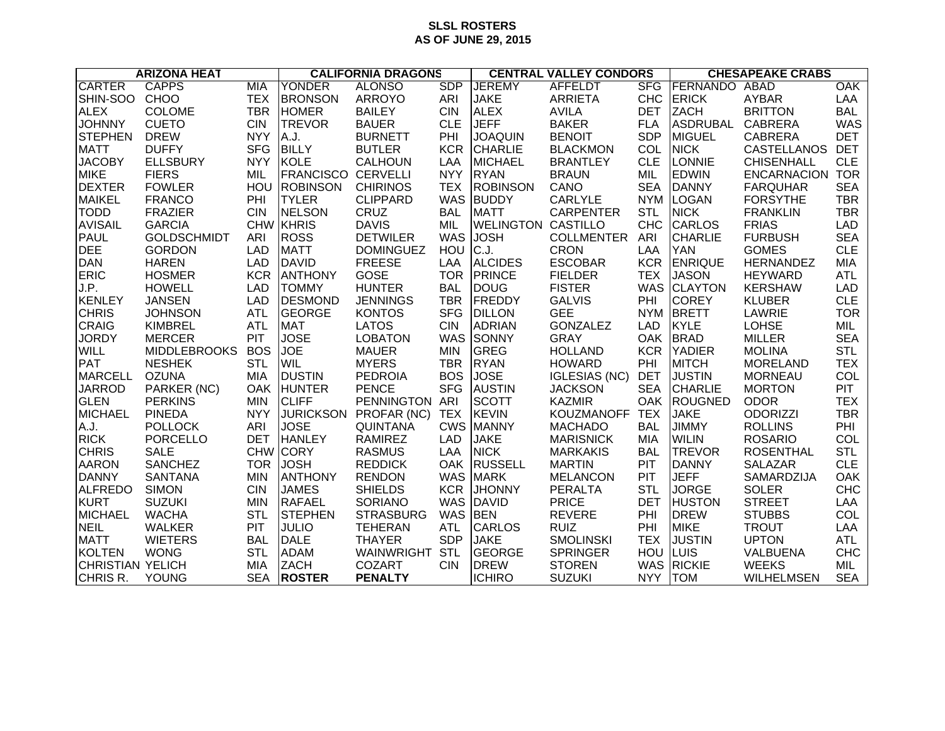## **SLSL ROSTERS AS OF JUNE 29, 2015**

| <b>ARIZONA HEAT</b>     |                     |            | <b>CALIFORNIA DRAGONS</b> |                  |            | <b>CENTRAL VALLEY CONDORS</b> |                      |            | <b>CHESAPEAKE CRABS</b> |                    |            |
|-------------------------|---------------------|------------|---------------------------|------------------|------------|-------------------------------|----------------------|------------|-------------------------|--------------------|------------|
| <b>CARTER</b>           | <b>CAPPS</b>        | <b>MIA</b> | <b>YONDER</b>             | <b>ALONSO</b>    | <b>SDP</b> | <b>JEREMY</b>                 | <b>AFFELDT</b>       | <b>SFG</b> | FERNANDO                | ABAD               | OAK        |
| SHIN-SOO                | <b>CHOO</b>         | <b>TEX</b> | <b>BRONSON</b>            | <b>ARROYO</b>    | ARI        | <b>JAKE</b>                   | <b>ARRIETA</b>       | <b>CHC</b> | <b>ERICK</b>            | <b>AYBAR</b>       | LAA        |
| <b>ALEX</b>             | <b>COLOME</b>       | <b>TBR</b> | <b>HOMER</b>              | <b>BAILEY</b>    | <b>CIN</b> | <b>ALEX</b>                   | <b>AVILA</b>         | <b>DET</b> | <b>ZACH</b>             | <b>BRITTON</b>     | <b>BAL</b> |
| <b>JOHNNY</b>           | <b>CUETO</b>        | <b>CIN</b> | <b>TREVOR</b>             | <b>BAUER</b>     | <b>CLE</b> | <b>JEFF</b>                   | <b>BAKER</b>         | <b>FLA</b> | <b>ASDRUBAL</b>         | CABRERA            | <b>WAS</b> |
| <b>STEPHEN</b>          | <b>DREW</b>         | <b>NYY</b> | A.J.                      | <b>BURNETT</b>   | PHI        | <b>JOAQUIN</b>                | <b>BENOIT</b>        | <b>SDP</b> | MIGUEL                  | <b>CABRERA</b>     | <b>DET</b> |
| <b>MATT</b>             | <b>DUFFY</b>        | <b>SFG</b> | <b>BILLY</b>              | <b>BUTLER</b>    | <b>KCR</b> | <b>CHARLIE</b>                | <b>BLACKMON</b>      | COL        | <b>NICK</b>             | CASTELLANOS        | <b>DET</b> |
| <b>JACOBY</b>           | <b>ELLSBURY</b>     | <b>NYY</b> | <b>KOLE</b>               | CALHOUN          | LAA        | <b>MICHAEL</b>                | <b>BRANTLEY</b>      | <b>CLE</b> | LONNIE                  | <b>CHISENHALL</b>  | <b>CLE</b> |
| <b>MIKE</b>             | <b>FIERS</b>        | MIL        | <b>FRANCISCO CERVELLI</b> |                  | <b>NYY</b> | <b>RYAN</b>                   | <b>BRAUN</b>         | MIL        | <b>EDWIN</b>            | <b>ENCARNACION</b> | <b>TOR</b> |
| <b>DEXTER</b>           | <b>FOWLER</b>       | HOU        | <b>ROBINSON</b>           | <b>CHIRINOS</b>  | <b>TEX</b> | <b>ROBINSON</b>               | CANO                 | <b>SEA</b> | <b>DANNY</b>            | <b>FARQUHAR</b>    | <b>SEA</b> |
| <b>MAIKEL</b>           | <b>FRANCO</b>       | PHI        | <b>TYLER</b>              | <b>CLIPPARD</b>  | <b>WAS</b> | <b>BUDDY</b>                  | <b>CARLYLE</b>       | <b>NYM</b> | <b>LOGAN</b>            | <b>FORSYTHE</b>    | <b>TBR</b> |
| <b>TODD</b>             | <b>FRAZIER</b>      | <b>CIN</b> | <b>NELSON</b>             | CRUZ             | <b>BAL</b> | <b>MATT</b>                   | <b>CARPENTER</b>     | <b>STL</b> | <b>NICK</b>             | <b>FRANKLIN</b>    | <b>TBR</b> |
| <b>AVISAIL</b>          | <b>GARCIA</b>       |            | CHW KHRIS                 | <b>DAVIS</b>     | <b>MIL</b> | <b>WELINGTON CASTILLO</b>     |                      | <b>CHC</b> | CARLOS                  | <b>FRIAS</b>       | <b>LAD</b> |
| <b>PAUL</b>             | <b>GOLDSCHMIDT</b>  | ARI        | <b>ROSS</b>               | <b>DETWILER</b>  | <b>WAS</b> | <b>JOSH</b>                   | <b>COLLMENTER</b>    | ARI        | <b>CHARLIE</b>          | <b>FURBUSH</b>     | <b>SEA</b> |
| <b>DEE</b>              | <b>GORDON</b>       | <b>LAD</b> | <b>MATT</b>               | <b>DOMINGUEZ</b> | HOU        | C.J.                          | <b>CRON</b>          | LAA        | <b>YAN</b>              | <b>GOMES</b>       | <b>CLE</b> |
| <b>DAN</b>              | <b>HAREN</b>        | <b>LAD</b> | <b>DAVID</b>              | <b>FREESE</b>    | LAA        | <b>ALCIDES</b>                | <b>ESCOBAR</b>       | <b>KCR</b> | <b>ENRIQUE</b>          | HERNANDEZ          | <b>MIA</b> |
| <b>ERIC</b>             | <b>HOSMER</b>       | <b>KCR</b> | <b>ANTHONY</b>            | <b>GOSE</b>      | <b>TOR</b> | PRINCE                        | <b>FIELDER</b>       | <b>TEX</b> | <b>JASON</b>            | <b>HEYWARD</b>     | <b>ATL</b> |
| J.P.                    | <b>HOWELL</b>       | <b>LAD</b> | <b>TOMMY</b>              | <b>HUNTER</b>    | <b>BAL</b> | <b>DOUG</b>                   | <b>FISTER</b>        |            | WAS CLAYTON             | <b>KERSHAW</b>     | <b>LAD</b> |
| KENLEY                  | <b>JANSEN</b>       | <b>LAD</b> | DESMOND                   | <b>JENNINGS</b>  | <b>TBR</b> | FREDDY                        | <b>GALVIS</b>        | PHI        | <b>COREY</b>            | <b>KLUBER</b>      | <b>CLE</b> |
| <b>CHRIS</b>            | <b>JOHNSON</b>      | <b>ATL</b> | <b>GEORGE</b>             | <b>KONTOS</b>    | <b>SFG</b> | <b>DILLON</b>                 | <b>GEE</b>           |            | NYM BRETT               | LAWRIE             | <b>TOR</b> |
| CRAIG                   | KIMBREL             | <b>ATL</b> | <b>MAT</b>                | <b>LATOS</b>     | <b>CIN</b> | <b>ADRIAN</b>                 | <b>GONZALEZ</b>      | <b>LAD</b> | <b>KYLE</b>             | <b>LOHSE</b>       | MIL        |
| <b>JORDY</b>            | <b>MERCER</b>       | <b>PIT</b> | <b>JOSE</b>               | <b>LOBATON</b>   | <b>WAS</b> | <b>SONNY</b>                  | <b>GRAY</b>          |            | OAK BRAD                | <b>MILLER</b>      | <b>SEA</b> |
| WILL                    | <b>MIDDLEBROOKS</b> | <b>BOS</b> | JOE                       | <b>MAUER</b>     | <b>MIN</b> | <b>GREG</b>                   | <b>HOLLAND</b>       | <b>KCR</b> | <b>YADIER</b>           | <b>MOLINA</b>      | <b>STL</b> |
| <b>PAT</b>              | <b>NESHEK</b>       | <b>STL</b> | <b>WIL</b>                | <b>MYERS</b>     | <b>TBR</b> | <b>RYAN</b>                   | <b>HOWARD</b>        | PHI        | <b>MITCH</b>            | <b>MORELAND</b>    | <b>TEX</b> |
| <b>MARCELL</b>          | <b>OZUNA</b>        | MIA        | <b>DUSTIN</b>             | <b>PEDROIA</b>   | <b>BOS</b> | <b>JOSE</b>                   | <b>IGLESIAS (NC)</b> | <b>DET</b> | <b>JUSTIN</b>           | <b>MORNEAU</b>     | COL        |
| <b>JARROD</b>           | PARKER (NC)         | <b>OAK</b> | <b>HUNTER</b>             | <b>PENCE</b>     | <b>SFG</b> | <b>AUSTIN</b>                 | <b>JACKSON</b>       | <b>SEA</b> | <b>CHARLIE</b>          | <b>MORTON</b>      | <b>PIT</b> |
| GLEN                    | <b>PERKINS</b>      | <b>MIN</b> | <b>CLIFF</b>              | PENNINGTON ARI   |            | <b>SCOTT</b>                  | <b>KAZMIR</b>        | OAK        | <b>ROUGNED</b>          | <b>ODOR</b>        | <b>TEX</b> |
| <b>MICHAEL</b>          | <b>PINEDA</b>       | <b>NYY</b> | <b>JURICKSON</b>          | PROFAR (NC)      | <b>TEX</b> | <b>KEVIN</b>                  | <b>KOUZMANOFF</b>    | <b>TEX</b> | <b>JAKE</b>             | <b>ODORIZZI</b>    | <b>TBR</b> |
| A.J.                    | <b>POLLOCK</b>      | <b>ARI</b> | <b>JOSE</b>               | <b>QUINTANA</b>  | <b>CWS</b> | <b>MANNY</b>                  | <b>MACHADO</b>       | <b>BAL</b> | <b>JIMMY</b>            | <b>ROLLINS</b>     | PHI        |
| <b>RICK</b>             | <b>PORCELLO</b>     | <b>DET</b> | <b>HANLEY</b>             | <b>RAMIREZ</b>   | <b>LAD</b> | <b>JAKE</b>                   | <b>MARISNICK</b>     | <b>MIA</b> | <b>WILIN</b>            | <b>ROSARIO</b>     | COL        |
| <b>CHRIS</b>            | <b>SALE</b>         | <b>CHW</b> | <b>CORY</b>               | <b>RASMUS</b>    | LAA        | <b>NICK</b>                   | <b>MARKAKIS</b>      | <b>BAL</b> | <b>TREVOR</b>           | <b>ROSENTHAL</b>   | <b>STL</b> |
| <b>AARON</b>            | <b>SANCHEZ</b>      | <b>TOR</b> | <b>JOSH</b>               | <b>REDDICK</b>   | <b>OAK</b> | <b>RUSSELL</b>                | <b>MARTIN</b>        | PIT        | <b>DANNY</b>            | <b>SALAZAR</b>     | <b>CLE</b> |
| DANNY                   | <b>SANTANA</b>      | <b>MIN</b> | <b>ANTHONY</b>            | <b>RENDON</b>    | <b>WAS</b> | <b>MARK</b>                   | <b>MELANCON</b>      | PIT        | <b>JEFF</b>             | SAMARDZIJA         | <b>OAK</b> |
| <b>ALFREDO</b>          | <b>SIMON</b>        | <b>CIN</b> | <b>JAMES</b>              | <b>SHIELDS</b>   | <b>KCR</b> | <b>JHONNY</b>                 | <b>PERALTA</b>       | <b>STL</b> | <b>JORGE</b>            | <b>SOLER</b>       | <b>CHC</b> |
| KURT                    | <b>SUZUKI</b>       | <b>MIN</b> | <b>RAFAEL</b>             | <b>SORIANO</b>   | <b>WAS</b> | DAVID                         | <b>PRICE</b>         | <b>DET</b> | <b>HUSTON</b>           | <b>STREET</b>      | LAA        |
| <b>MICHAEL</b>          | <b>WACHA</b>        | <b>STL</b> | <b>STEPHEN</b>            | <b>STRASBURG</b> | <b>WAS</b> | <b>BEN</b>                    | <b>REVERE</b>        | PHI        | <b>DREW</b>             | <b>STUBBS</b>      | COL        |
| <b>NEIL</b>             | <b>WALKER</b>       | PIT        | <b>JULIO</b>              | <b>TEHERAN</b>   | <b>ATL</b> | <b>CARLOS</b>                 | <b>RUIZ</b>          | PHI        | <b>MIKE</b>             | <b>TROUT</b>       | LAA        |
| <b>MATT</b>             | <b>WIETERS</b>      | <b>BAL</b> | <b>DALE</b>               | <b>THAYER</b>    | <b>SDP</b> | <b>JAKE</b>                   | <b>SMOLINSKI</b>     | <b>TEX</b> | <b>JUSTIN</b>           | <b>UPTON</b>       | <b>ATL</b> |
| KOLTEN                  | <b>WONG</b>         | <b>STL</b> | <b>ADAM</b>               | WAINWRIGHT       | <b>STL</b> | <b>GEORGE</b>                 | <b>SPRINGER</b>      | HOU        | <b>LUIS</b>             | VALBUENA           | <b>CHC</b> |
| <b>CHRISTIAN YELICH</b> |                     | <b>MIA</b> | <b>ZACH</b>               | <b>COZART</b>    | <b>CIN</b> | <b>DREW</b>                   | <b>STOREN</b>        | WAS        | <b>RICKIE</b>           | <b>WEEKS</b>       | MIL        |
| CHRIS R.                | YOUNG               | <b>SEA</b> | <b>ROSTER</b>             | <b>PENALTY</b>   |            | <b>ICHIRO</b>                 | <b>SUZUKI</b>        | <b>NYY</b> | <b>TOM</b>              | <b>WILHELMSEN</b>  | <b>SEA</b> |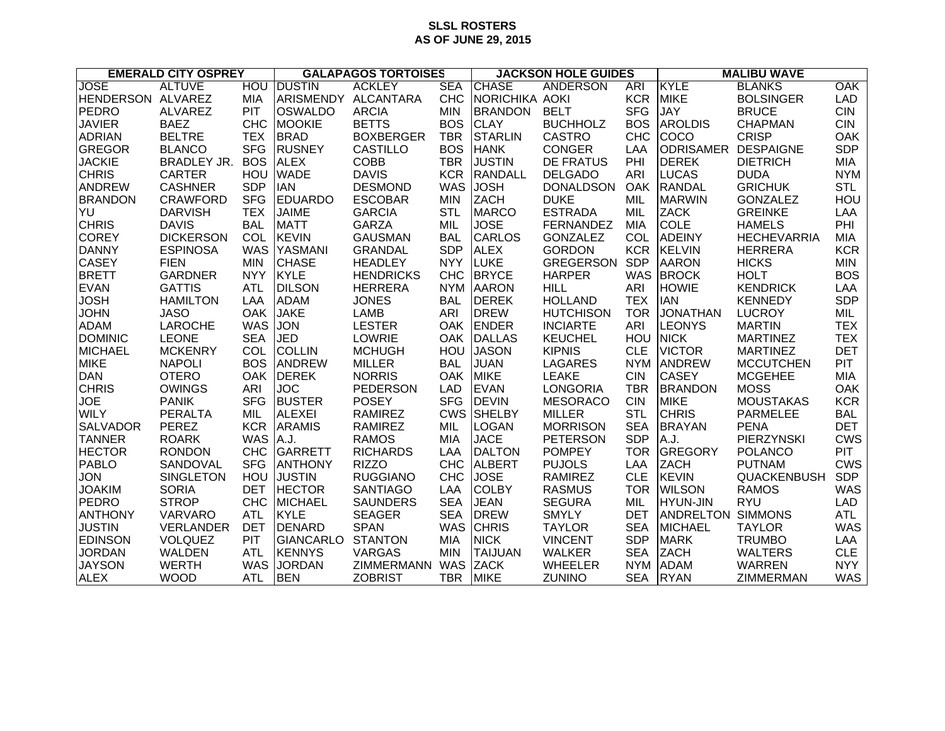## **SLSL ROSTERS AS OF JUNE 29, 2015**

| <b>EMERALD CITY OSPREY</b> |                    | <b>GALAPAGOS TORTOISES</b> |                     |                   | <b>JACKSON HOLE GUIDES</b> |                |                  | <b>MALIBU WAVE</b> |                          |                    |            |
|----------------------------|--------------------|----------------------------|---------------------|-------------------|----------------------------|----------------|------------------|--------------------|--------------------------|--------------------|------------|
| <b>JOSE</b>                | <b>ALTUVE</b>      | <b>HOU</b>                 | <b>DUSTIN</b>       | <b>ACKLEY</b>     | <b>SEA</b>                 | <b>CHASE</b>   | <b>ANDERSON</b>  | <b>ARI</b>         | KYLE                     | <b>BLANKS</b>      | <b>OAK</b> |
| HENDERSON ALVAREZ          |                    | MIA                        | ARISMENDY ALCANTARA |                   | <b>CHC</b>                 | NORICHIKA AOKI |                  | <b>KCR</b>         | <b>MIKE</b>              | <b>BOLSINGER</b>   | <b>LAD</b> |
| PEDRO                      | <b>ALVAREZ</b>     | <b>PIT</b>                 | <b>OSWALDO</b>      | <b>ARCIA</b>      | <b>MIN</b>                 | <b>BRANDON</b> | <b>BELT</b>      | <b>SFG</b>         | <b>JAY</b>               | <b>BRUCE</b>       | <b>CIN</b> |
| <b>JAVIER</b>              | <b>BAEZ</b>        | <b>CHC</b>                 | <b>MOOKIE</b>       | <b>BETTS</b>      | <b>BOS</b>                 | <b>CLAY</b>    | <b>BUCHHOLZ</b>  | <b>BOS</b>         | <b>AROLDIS</b>           | <b>CHAPMAN</b>     | <b>CIN</b> |
| <b>ADRIAN</b>              | <b>BELTRE</b>      | <b>TEX</b>                 | <b>BRAD</b>         | <b>BOXBERGER</b>  | <b>TBR</b>                 | <b>STARLIN</b> | <b>CASTRO</b>    | <b>CHC</b>         | COCO                     | <b>CRISP</b>       | OAK        |
| <b>GREGOR</b>              | <b>BLANCO</b>      | <b>SFG</b>                 | <b>RUSNEY</b>       | <b>CASTILLO</b>   | <b>BOS</b>                 | <b>HANK</b>    | <b>CONGER</b>    | LAA                | <b>ODRISAMER</b>         | <b>DESPAIGNE</b>   | <b>SDP</b> |
| <b>JACKIE</b>              | <b>BRADLEY JR.</b> | <b>BOS</b>                 | <b>ALEX</b>         | <b>COBB</b>       | <b>TBR</b>                 | <b>JUSTIN</b>  | <b>DE FRATUS</b> | PHI                | <b>DEREK</b>             | <b>DIETRICH</b>    | <b>MIA</b> |
| <b>CHRIS</b>               | <b>CARTER</b>      | HOU                        | <b>WADE</b>         | <b>DAVIS</b>      | <b>KCR</b>                 | <b>RANDALL</b> | <b>DELGADO</b>   | ARI                | <b>LUCAS</b>             | <b>DUDA</b>        | <b>NYM</b> |
| <b>ANDREW</b>              | <b>CASHNER</b>     | <b>SDP</b>                 | <b>IAN</b>          | <b>DESMOND</b>    | <b>WAS</b>                 | <b>JOSH</b>    | <b>DONALDSON</b> | OAK                | <b>RANDAL</b>            | <b>GRICHUK</b>     | <b>STL</b> |
| <b>BRANDON</b>             | <b>CRAWFORD</b>    | <b>SFG</b>                 | <b>EDUARDO</b>      | <b>ESCOBAR</b>    | <b>MIN</b>                 | <b>ZACH</b>    | <b>DUKE</b>      | MIL                | <b>MARWIN</b>            | <b>GONZALEZ</b>    | HOU        |
| YU                         | <b>DARVISH</b>     | <b>TEX</b>                 | <b>JAIME</b>        | <b>GARCIA</b>     | <b>STL</b>                 | <b>MARCO</b>   | <b>ESTRADA</b>   | MIL                | <b>ZACK</b>              | <b>GREINKE</b>     | LAA        |
| <b>CHRIS</b>               | <b>DAVIS</b>       | <b>BAL</b>                 | <b>MATT</b>         | <b>GARZA</b>      | MIL                        | <b>JOSE</b>    | <b>FERNANDEZ</b> | <b>MIA</b>         | <b>COLE</b>              | <b>HAMELS</b>      | PHI        |
| <b>COREY</b>               | <b>DICKERSON</b>   | COL                        | <b>KEVIN</b>        | <b>GAUSMAN</b>    | <b>BAL</b>                 | <b>CARLOS</b>  | <b>GONZALEZ</b>  | <b>COL</b>         | <b>ADEINY</b>            | <b>HECHEVARRIA</b> | <b>MIA</b> |
| <b>DANNY</b>               | <b>ESPINOSA</b>    | <b>WAS</b>                 | YASMANI             | <b>GRANDAL</b>    | <b>SDP</b>                 | <b>ALEX</b>    | <b>GORDON</b>    | <b>KCR</b>         | <b>KELVIN</b>            | <b>HERRERA</b>     | <b>KCR</b> |
| <b>CASEY</b>               | <b>FIEN</b>        | <b>MIN</b>                 | <b>CHASE</b>        | <b>HEADLEY</b>    | <b>NYY</b>                 | <b>LUKE</b>    | <b>GREGERSON</b> | <b>SDP</b>         | <b>AARON</b>             | <b>HICKS</b>       | <b>MIN</b> |
| <b>BRETT</b>               | <b>GARDNER</b>     | <b>NYY</b>                 | <b>KYLE</b>         | <b>HENDRICKS</b>  | <b>CHC</b>                 | <b>BRYCE</b>   | <b>HARPER</b>    | <b>WAS</b>         | <b>BROCK</b>             | <b>HOLT</b>        | <b>BOS</b> |
| <b>EVAN</b>                | <b>GATTIS</b>      | <b>ATL</b>                 | <b>DILSON</b>       | <b>HERRERA</b>    | <b>NYM</b>                 | <b>AARON</b>   | <b>HILL</b>      | ARI                | <b>HOWIE</b>             | <b>KENDRICK</b>    | LAA        |
| <b>JOSH</b>                | <b>HAMILTON</b>    | LAA                        | <b>ADAM</b>         | <b>JONES</b>      | <b>BAL</b>                 | <b>DEREK</b>   | <b>HOLLAND</b>   | <b>TEX</b>         | <b>IAN</b>               | <b>KENNEDY</b>     | <b>SDP</b> |
| <b>JOHN</b>                | <b>JASO</b>        | <b>OAK</b>                 | <b>JAKE</b>         | <b>LAMB</b>       | ARI                        | <b>DREW</b>    | <b>HUTCHISON</b> | <b>TOR</b>         | <b>JONATHAN</b>          | <b>LUCROY</b>      | MIL        |
| <b>ADAM</b>                | <b>LAROCHE</b>     | <b>WAS</b>                 | <b>JON</b>          | <b>LESTER</b>     | <b>OAK</b>                 | <b>ENDER</b>   | <b>INCIARTE</b>  | <b>ARI</b>         | <b>LEONYS</b>            | <b>MARTIN</b>      | <b>TEX</b> |
| <b>DOMINIC</b>             | <b>LEONE</b>       | <b>SEA</b>                 | <b>JED</b>          | LOWRIE            | <b>OAK</b>                 | <b>DALLAS</b>  | <b>KEUCHEL</b>   | <b>HOU</b>         | <b>NICK</b>              | <b>MARTINEZ</b>    | <b>TEX</b> |
| <b>MICHAEL</b>             | <b>MCKENRY</b>     | COL                        | <b>COLLIN</b>       | <b>MCHUGH</b>     | HOU                        | <b>JASON</b>   | <b>KIPNIS</b>    | <b>CLE</b>         | <b>VICTOR</b>            | <b>MARTINEZ</b>    | <b>DET</b> |
| <b>MIKE</b>                | <b>NAPOLI</b>      | <b>BOS</b>                 | <b>ANDREW</b>       | <b>MILLER</b>     | <b>BAL</b>                 | <b>JUAN</b>    | <b>LAGARES</b>   | <b>NYM</b>         | <b>ANDREW</b>            | <b>MCCUTCHEN</b>   | <b>PIT</b> |
| <b>DAN</b>                 | <b>OTERO</b>       | <b>OAK</b>                 | <b>DEREK</b>        | <b>NORRIS</b>     | <b>OAK</b>                 | <b>MIKE</b>    | <b>LEAKE</b>     | <b>CIN</b>         | <b>CASEY</b>             | <b>MCGEHEE</b>     | <b>MIA</b> |
| <b>CHRIS</b>               | <b>OWINGS</b>      | ARI                        | <b>JOC</b>          | <b>PEDERSON</b>   | <b>LAD</b>                 | <b>EVAN</b>    | <b>LONGORIA</b>  | <b>TBR</b>         | <b>BRANDON</b>           | <b>MOSS</b>        | OAK        |
| <b>JOE</b>                 | <b>PANIK</b>       | <b>SFG</b>                 | <b>BUSTER</b>       | <b>POSEY</b>      | <b>SFG</b>                 | <b>DEVIN</b>   | <b>MESORACO</b>  | <b>CIN</b>         | <b>MIKE</b>              | <b>MOUSTAKAS</b>   | <b>KCR</b> |
| <b>WILY</b>                | <b>PERALTA</b>     | MIL                        | <b>ALEXEI</b>       | <b>RAMIREZ</b>    | <b>CWS</b>                 | <b>SHELBY</b>  | <b>MILLER</b>    | <b>STL</b>         | <b>CHRIS</b>             | <b>PARMELEE</b>    | <b>BAL</b> |
| <b>SALVADOR</b>            | PEREZ              | <b>KCR</b>                 | <b>ARAMIS</b>       | <b>RAMIREZ</b>    | MIL                        | <b>LOGAN</b>   | <b>MORRISON</b>  | <b>SEA</b>         | <b>BRAYAN</b>            | <b>PENA</b>        | <b>DET</b> |
| <b>TANNER</b>              | <b>ROARK</b>       | <b>WAS</b>                 | A.J.                | <b>RAMOS</b>      | <b>MIA</b>                 | <b>JACE</b>    | <b>PETERSON</b>  | <b>SDP</b>         | A.J.                     | PIERZYNSKI         | <b>CWS</b> |
| <b>HECTOR</b>              | <b>RONDON</b>      | <b>CHC</b>                 | <b>GARRETT</b>      | <b>RICHARDS</b>   | LAA                        | <b>DALTON</b>  | <b>POMPEY</b>    | <b>TOR</b>         | GREGORY                  | <b>POLANCO</b>     | <b>PIT</b> |
| <b>PABLO</b>               | SANDOVAL           | <b>SFG</b>                 | <b>ANTHONY</b>      | <b>RIZZO</b>      | <b>CHC</b>                 | <b>ALBERT</b>  | <b>PUJOLS</b>    | LAA                | <b>ZACH</b>              | <b>PUTNAM</b>      | <b>CWS</b> |
| JON                        | <b>SINGLETON</b>   | HOU                        | <b>JUSTIN</b>       | <b>RUGGIANO</b>   | <b>CHC</b>                 | <b>JOSE</b>    | <b>RAMIREZ</b>   | <b>CLE</b>         | <b>KEVIN</b>             | QUACKENBUSH        | <b>SDP</b> |
| <b>JOAKIM</b>              | <b>SORIA</b>       | <b>DET</b>                 | <b>HECTOR</b>       | <b>SANTIAGO</b>   | LAA                        | <b>COLBY</b>   | <b>RASMUS</b>    | <b>TOR</b>         | <b>WILSON</b>            | <b>RAMOS</b>       | <b>WAS</b> |
| <b>PEDRO</b>               | <b>STROP</b>       | <b>CHC</b>                 | <b>MICHAEL</b>      | <b>SAUNDERS</b>   | <b>SEA</b>                 | <b>JEAN</b>    | <b>SEGURA</b>    | MIL                | <b>HYUN-JIN</b>          | <b>RYU</b>         | <b>LAD</b> |
| <b>ANTHONY</b>             | VARVARO            | <b>ATL</b>                 | <b>KYLE</b>         | <b>SEAGER</b>     | <b>SEA</b>                 | <b>DREW</b>    | <b>SMYLY</b>     | <b>DET</b>         | <b>ANDRELTON SIMMONS</b> |                    | <b>ATL</b> |
| <b>JUSTIN</b>              | VERLANDER          | <b>DET</b>                 | <b>DENARD</b>       | <b>SPAN</b>       | <b>WAS</b>                 | <b>CHRIS</b>   | <b>TAYLOR</b>    | <b>SEA</b>         | MICHAEL                  | <b>TAYLOR</b>      | <b>WAS</b> |
| <b>EDINSON</b>             | <b>VOLQUEZ</b>     | <b>PIT</b>                 | <b>GIANCARLO</b>    | <b>STANTON</b>    | <b>MIA</b>                 | <b>NICK</b>    | <b>VINCENT</b>   | <b>SDP</b>         | <b>MARK</b>              | <b>TRUMBO</b>      | LAA        |
| <b>JORDAN</b>              | <b>WALDEN</b>      | <b>ATL</b>                 | <b>KENNYS</b>       | <b>VARGAS</b>     | <b>MIN</b>                 | <b>TAIJUAN</b> | <b>WALKER</b>    | <b>SEA</b>         | <b>ZACH</b>              | <b>WALTERS</b>     | <b>CLE</b> |
| <b>JAYSON</b>              | <b>WERTH</b>       | <b>WAS</b>                 | <b>JORDAN</b>       | <b>ZIMMERMANN</b> | <b>WAS</b>                 | <b>ZACK</b>    | <b>WHEELER</b>   | <b>NYM</b>         | <b>ADAM</b>              | <b>WARREN</b>      | <b>NYY</b> |
| <b>ALEX</b>                | <b>WOOD</b>        | <b>ATL</b>                 | <b>BEN</b>          | <b>ZOBRIST</b>    | <b>TBR</b>                 | <b>MIKE</b>    | ZUNINO           | <b>SEA</b>         | <b>RYAN</b>              | ZIMMERMAN          | <b>WAS</b> |